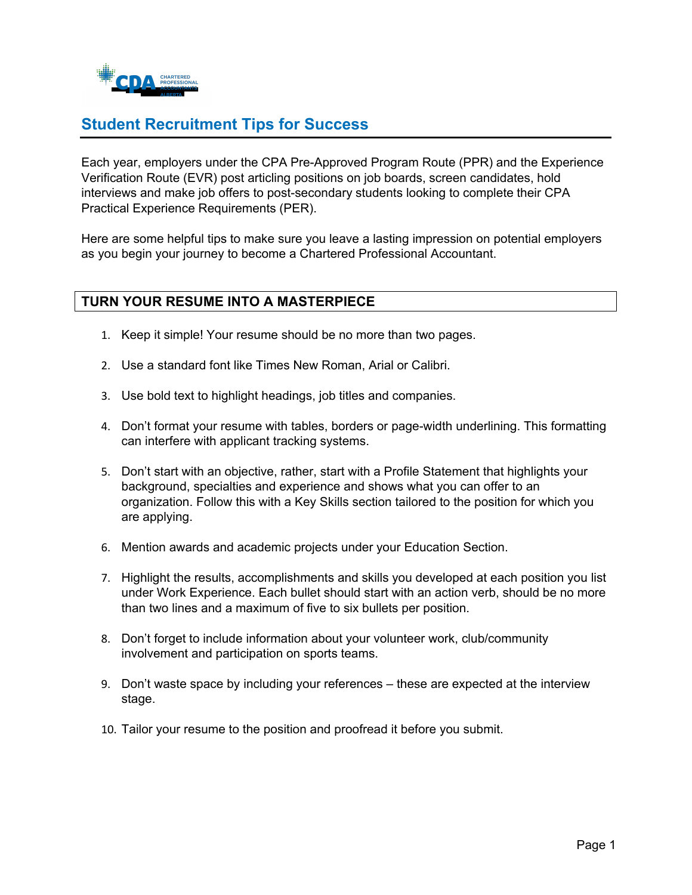

# **Student Recruitment Tips for Success**

Each year, employers under the CPA Pre-Approved Program Route (PPR) and the Experience Verification Route (EVR) post articling positions on job boards, screen candidates, hold interviews and make job offers to post-secondary students looking to complete their CPA Practical Experience Requirements (PER).

Here are some helpful tips to make sure you leave a lasting impression on potential employers as you begin your journey to become a Chartered Professional Accountant.

### **TURN YOUR RESUME INTO A MASTERPIECE**

- 1. Keep it simple! Your resume should be no more than two pages.
- 2. Use a standard font like Times New Roman, Arial or Calibri.
- 3. Use bold text to highlight headings, job titles and companies.
- 4. Don't format your resume with tables, borders or page-width underlining. This formatting can interfere with applicant tracking systems.
- 5. Don't start with an objective, rather, start with a Profile Statement that highlights your background, specialties and experience and shows what you can offer to an organization. Follow this with a Key Skills section tailored to the position for which you are applying.
- 6. Mention awards and academic projects under your Education Section.
- 7. Highlight the results, accomplishments and skills you developed at each position you list under Work Experience. Each bullet should start with an action verb, should be no more than two lines and a maximum of five to six bullets per position.
- 8. Don't forget to include information about your volunteer work, club/community involvement and participation on sports teams.
- 9. Don't waste space by including your references these are expected at the interview stage.
- 10. Tailor your resume to the position and proofread it before you submit.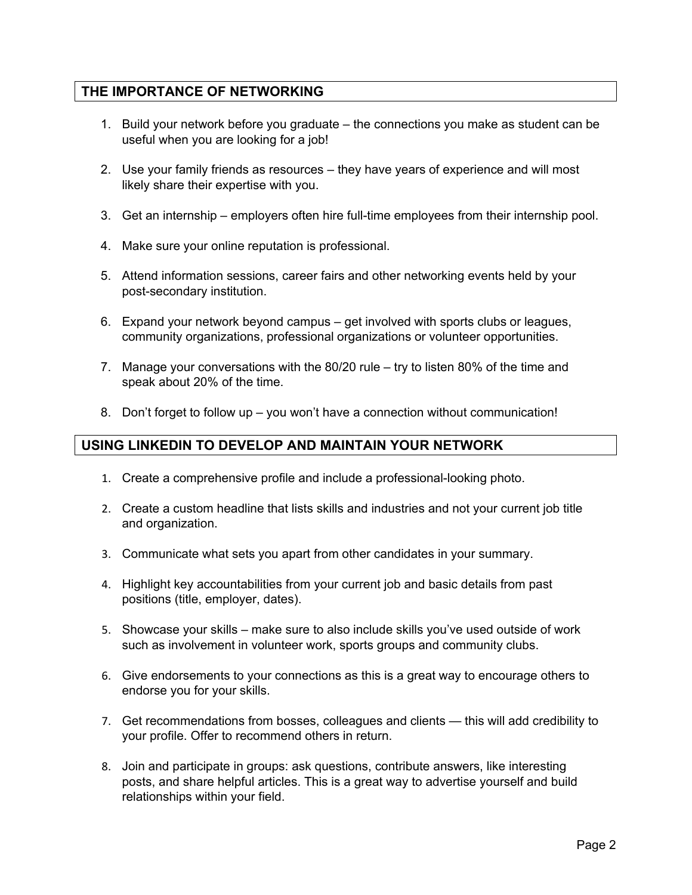### **THE IMPORTANCE OF NETWORKING**

- 1. Build your network before you graduate the connections you make as student can be useful when you are looking for a job!
- 2. Use your family friends as resources they have years of experience and will most likely share their expertise with you.
- 3. Get an internship employers often hire full-time employees from their internship pool.
- 4. Make sure your online reputation is professional.
- 5. Attend information sessions, career fairs and other networking events held by your post-secondary institution.
- 6. Expand your network beyond campus get involved with sports clubs or leagues, community organizations, professional organizations or volunteer opportunities.
- 7. Manage your conversations with the 80/20 rule try to listen 80% of the time and speak about 20% of the time.
- 8. Don't forget to follow up you won't have a connection without communication!

### **USING LINKEDIN TO DEVELOP AND MAINTAIN YOUR NETWORK**

- 1. Create a comprehensive profile and include a professional-looking photo.
- 2. Create a custom headline that lists skills and industries and not your current job title and organization.
- 3. Communicate what sets you apart from other candidates in your summary.
- 4. Highlight key accountabilities from your current job and basic details from past positions (title, employer, dates).
- 5. Showcase your skills make sure to also include skills you've used outside of work such as involvement in volunteer work, sports groups and community clubs.
- 6. Give endorsements to your connections as this is a great way to encourage others to endorse you for your skills.
- 7. Get recommendations from bosses, colleagues and clients this will add credibility to your profile. Offer to recommend others in return.
- 8. Join and participate in groups: ask questions, contribute answers, like interesting posts, and share helpful articles. This is a great way to advertise yourself and build relationships within your field.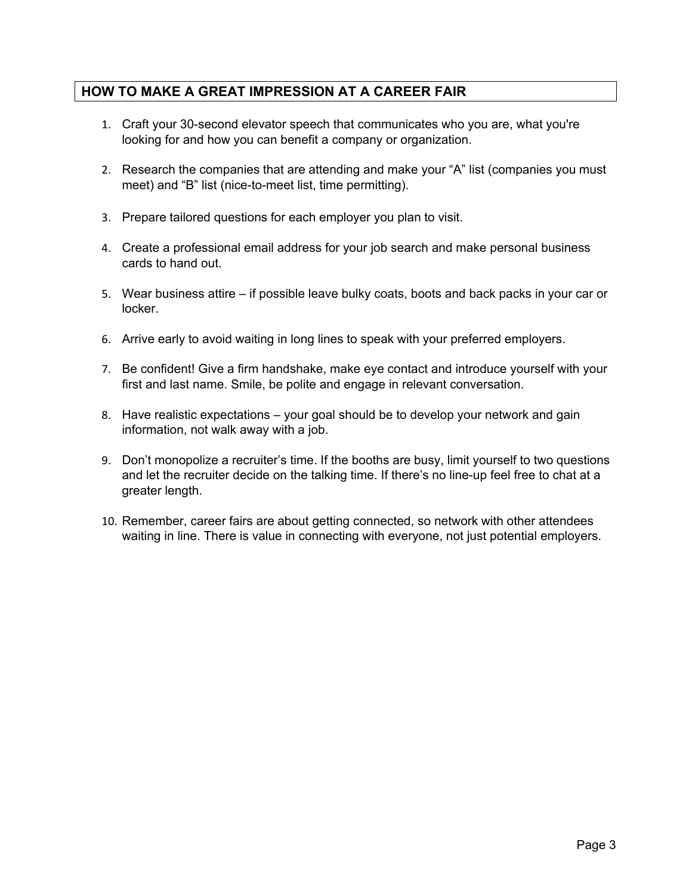## **HOW TO MAKE A GREAT IMPRESSION AT A CAREER FAIR**

- 1. Craft your 30-second elevator speech that communicates who you are, what you're looking for and how you can benefit a company or organization.
- 2. Research the companies that are attending and make your "A" list (companies you must meet) and "B" list (nice-to-meet list, time permitting).
- 3. Prepare tailored questions for each employer you plan to visit.
- 4. Create a professional email address for your job search and make personal business cards to hand out.
- 5. Wear business attire if possible leave bulky coats, boots and back packs in your car or locker.
- 6. Arrive early to avoid waiting in long lines to speak with your preferred employers.
- 7. Be confident! Give a firm handshake, make eye contact and introduce yourself with your first and last name. Smile, be polite and engage in relevant conversation.
- 8. Have realistic expectations your goal should be to develop your network and gain information, not walk away with a job.
- 9. Don't monopolize a recruiter's time. If the booths are busy, limit yourself to two questions and let the recruiter decide on the talking time. If there's no line-up feel free to chat at a greater length.
- 10. Remember, career fairs are about getting connected, so network with other attendees waiting in line. There is value in connecting with everyone, not just potential employers.